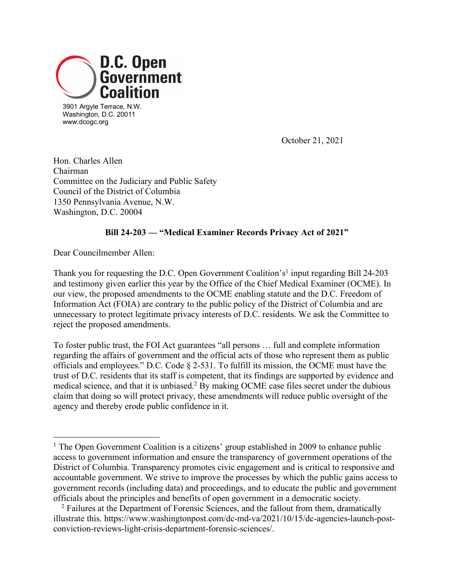

3901 Argyle Terrace, N.W. Washington, D.C. 20011 www.dcogc.org

October 21, 2021

Hon. Charles Allen Chairman Committee on the Judiciary and Public Safety Council of the District of Columbia 1350 Pennsylvania Avenue, N.W. Washington, D.C. 20004

## **Bill 24-203 — "Medical Examiner Records Privacy Act of 2021"**

Dear Councilmember Allen:

Thank you for requesting the D.C. Open Government Coalition's<sup>1</sup> input regarding Bill 24-203 and testimony given earlier this year by the Office of the Chief Medical Examiner (OCME). In our view, the proposed amendments to the OCME enabling statute and the D.C. Freedom of Information Act (FOIA) are contrary to the public policy of the District of Columbia and are unnecessary to protect legitimate privacy interests of D.C. residents. We ask the Committee to reject the proposed amendments.

To foster public trust, the FOI Act guarantees "all persons … full and complete information regarding the affairs of government and the official acts of those who represent them as public officials and employees." D.C. Code § 2-531. To fulfill its mission, the OCME must have the trust of D.C. residents that its staff is competent, that its findings are supported by evidence and medical science, and that it is unbiased.<sup>2</sup> By making OCME case files secret under the dubious claim that doing so will protect privacy, these amendments will reduce public oversight of the agency and thereby erode public confidence in it.

<sup>&</sup>lt;sup>1</sup> The Open Government Coalition is a citizens' group established in 2009 to enhance public access to government information and ensure the transparency of government operations of the District of Columbia. Transparency promotes civic engagement and is critical to responsive and accountable government. We strive to improve the processes by which the public gains access to government records (including data) and proceedings, and to educate the public and government officials about the principles and benefits of open government in a democratic society.

<sup>2</sup> Failures at the Department of Forensic Sciences, and the fallout from them, dramatically illustrate this. https://www.washingtonpost.com/dc-md-va/2021/10/15/dc-agencies-launch-postconviction-reviews-light-crisis-department-forensic-sciences/.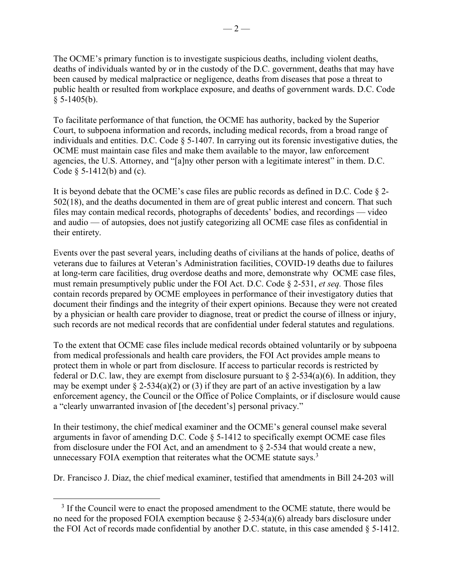The OCME's primary function is to investigate suspicious deaths, including violent deaths, deaths of individuals wanted by or in the custody of the D.C. government, deaths that may have been caused by medical malpractice or negligence, deaths from diseases that pose a threat to public health or resulted from workplace exposure, and deaths of government wards. D.C. Code  $§ 5-1405(b).$ 

To facilitate performance of that function, the OCME has authority, backed by the Superior Court, to subpoena information and records, including medical records, from a broad range of individuals and entities. D.C. Code § 5-1407. In carrying out its forensic investigative duties, the OCME must maintain case files and make them available to the mayor, law enforcement agencies, the U.S. Attorney, and "[a]ny other person with a legitimate interest" in them. D.C. Code § 5-1412(b) and (c).

It is beyond debate that the OCME's case files are public records as defined in D.C. Code § 2- 502(18), and the deaths documented in them are of great public interest and concern. That such files may contain medical records, photographs of decedents' bodies, and recordings — video and audio — of autopsies, does not justify categorizing all OCME case files as confidential in their entirety.

Events over the past several years, including deaths of civilians at the hands of police, deaths of veterans due to failures at Veteran's Administration facilities, COVID-19 deaths due to failures at long-term care facilities, drug overdose deaths and more, demonstrate why OCME case files, must remain presumptively public under the FOI Act. D.C. Code § 2-531, *et seq.* Those files contain records prepared by OCME employees in performance of their investigatory duties that document their findings and the integrity of their expert opinions. Because they were not created by a physician or health care provider to diagnose, treat or predict the course of illness or injury, such records are not medical records that are confidential under federal statutes and regulations.

To the extent that OCME case files include medical records obtained voluntarily or by subpoena from medical professionals and health care providers, the FOI Act provides ample means to protect them in whole or part from disclosure. If access to particular records is restricted by federal or D.C. law, they are exempt from disclosure pursuant to  $\S$  2-534(a)(6). In addition, they may be exempt under  $\S$  2-534(a)(2) or (3) if they are part of an active investigation by a law enforcement agency, the Council or the Office of Police Complaints, or if disclosure would cause a "clearly unwarranted invasion of [the decedent's] personal privacy."

In their testimony, the chief medical examiner and the OCME's general counsel make several arguments in favor of amending D.C. Code § 5-1412 to specifically exempt OCME case files from disclosure under the FOI Act, and an amendment to § 2-534 that would create a new, unnecessary FOIA exemption that reiterates what the OCME statute says.<sup>3</sup>

Dr. Francisco J. Diaz, the chief medical examiner, testified that amendments in Bill 24-203 will

<sup>&</sup>lt;sup>3</sup> If the Council were to enact the proposed amendment to the OCME statute, there would be no need for the proposed FOIA exemption because  $\S$  2-534(a)(6) already bars disclosure under the FOI Act of records made confidential by another D.C. statute, in this case amended § 5-1412.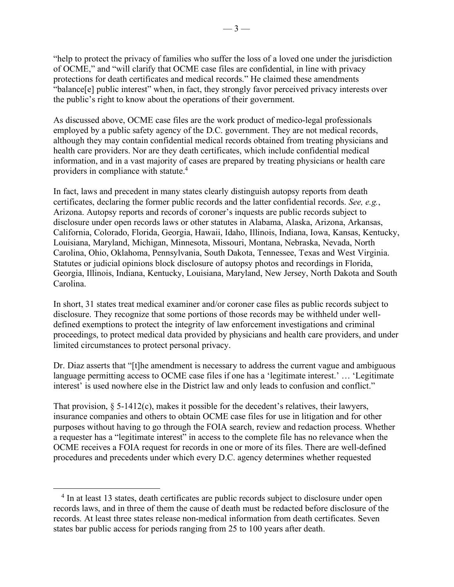"help to protect the privacy of families who suffer the loss of a loved one under the jurisdiction of OCME," and "will clarify that OCME case files are confidential, in line with privacy protections for death certificates and medical records." He claimed these amendments "balance[e] public interest" when, in fact, they strongly favor perceived privacy interests over the public's right to know about the operations of their government.

As discussed above, OCME case files are the work product of medico-legal professionals employed by a public safety agency of the D.C. government. They are not medical records, although they may contain confidential medical records obtained from treating physicians and health care providers. Nor are they death certificates, which include confidential medical information, and in a vast majority of cases are prepared by treating physicians or health care providers in compliance with statute. 4

In fact, laws and precedent in many states clearly distinguish autopsy reports from death certificates, declaring the former public records and the latter confidential records. *See, e.g.*, Arizona. Autopsy reports and records of coroner's inquests are public records subject to disclosure under open records laws or other statutes in Alabama, Alaska, Arizona, Arkansas, California, Colorado, Florida, Georgia, Hawaii, Idaho, Illinois, Indiana, Iowa, Kansas, Kentucky, Louisiana, Maryland, Michigan, Minnesota, Missouri, Montana, Nebraska, Nevada, North Carolina, Ohio, Oklahoma, Pennsylvania, South Dakota, Tennessee, Texas and West Virginia. Statutes or judicial opinions block disclosure of autopsy photos and recordings in Florida, Georgia, Illinois, Indiana, Kentucky, Louisiana, Maryland, New Jersey, North Dakota and South Carolina.

In short, 31 states treat medical examiner and/or coroner case files as public records subject to disclosure. They recognize that some portions of those records may be withheld under welldefined exemptions to protect the integrity of law enforcement investigations and criminal proceedings, to protect medical data provided by physicians and health care providers, and under limited circumstances to protect personal privacy.

Dr. Diaz asserts that "[t]he amendment is necessary to address the current vague and ambiguous language permitting access to OCME case files if one has a 'legitimate interest.' … 'Legitimate interest' is used nowhere else in the District law and only leads to confusion and conflict."

That provision,  $\S$  5-1412(c), makes it possible for the decedent's relatives, their lawyers, insurance companies and others to obtain OCME case files for use in litigation and for other purposes without having to go through the FOIA search, review and redaction process. Whether a requester has a "legitimate interest" in access to the complete file has no relevance when the OCME receives a FOIA request for records in one or more of its files. There are well-defined procedures and precedents under which every D.C. agency determines whether requested

<sup>&</sup>lt;sup>4</sup> In at least 13 states, death certificates are public records subject to disclosure under open records laws, and in three of them the cause of death must be redacted before disclosure of the records. At least three states release non-medical information from death certificates. Seven states bar public access for periods ranging from 25 to 100 years after death.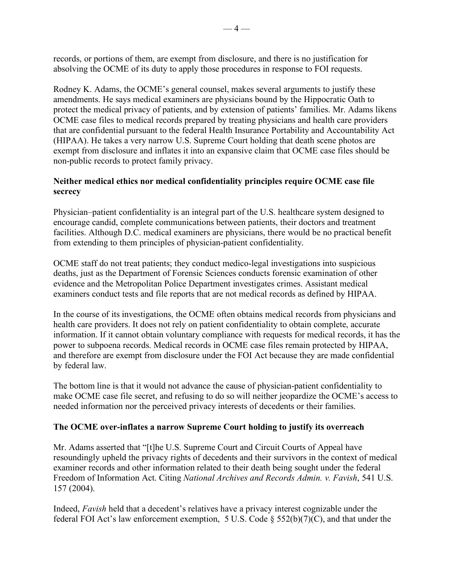records, or portions of them, are exempt from disclosure, and there is no justification for absolving the OCME of its duty to apply those procedures in response to FOI requests.

Rodney K. Adams, the OCME's general counsel, makes several arguments to justify these amendments. He says medical examiners are physicians bound by the Hippocratic Oath to protect the medical privacy of patients, and by extension of patients' families. Mr. Adams likens OCME case files to medical records prepared by treating physicians and health care providers that are confidential pursuant to the federal Health Insurance Portability and Accountability Act (HIPAA). He takes a very narrow U.S. Supreme Court holding that death scene photos are exempt from disclosure and inflates it into an expansive claim that OCME case files should be non-public records to protect family privacy.

## **Neither medical ethics nor medical confidentiality principles require OCME case file secrecy**

Physician–patient confidentiality is an integral part of the U.S. healthcare system designed to encourage candid, complete communications between patients, their doctors and treatment facilities. Although D.C. medical examiners are physicians, there would be no practical benefit from extending to them principles of physician-patient confidentiality.

OCME staff do not treat patients; they conduct medico-legal investigations into suspicious deaths, just as the Department of Forensic Sciences conducts forensic examination of other evidence and the Metropolitan Police Department investigates crimes. Assistant medical examiners conduct tests and file reports that are not medical records as defined by HIPAA.

In the course of its investigations, the OCME often obtains medical records from physicians and health care providers. It does not rely on patient confidentiality to obtain complete, accurate information. If it cannot obtain voluntary compliance with requests for medical records, it has the power to subpoena records. Medical records in OCME case files remain protected by HIPAA, and therefore are exempt from disclosure under the FOI Act because they are made confidential by federal law.

The bottom line is that it would not advance the cause of physician-patient confidentiality to make OCME case file secret, and refusing to do so will neither jeopardize the OCME's access to needed information nor the perceived privacy interests of decedents or their families.

## **The OCME over-inflates a narrow Supreme Court holding to justify its overreach**

Mr. Adams asserted that "[t]he U.S. Supreme Court and Circuit Courts of Appeal have resoundingly upheld the privacy rights of decedents and their survivors in the context of medical examiner records and other information related to their death being sought under the federal Freedom of Information Act. Citing *National Archives and Records Admin. v. Favish*, 541 U.S. 157 (2004).

Indeed, *Favish* held that a decedent's relatives have a privacy interest cognizable under the federal FOI Act's law enforcement exemption, 5 U.S. Code § 552(b)(7)(C), and that under the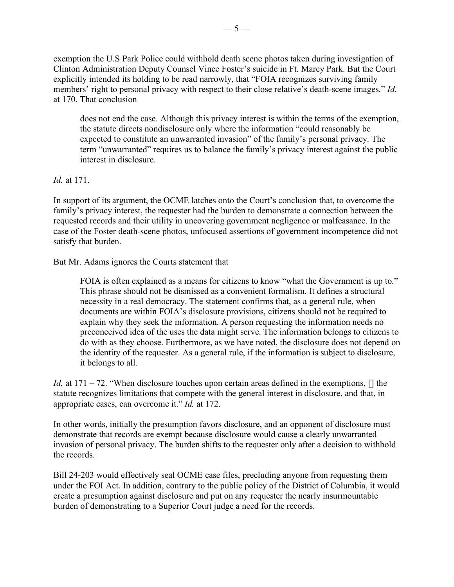exemption the U.S Park Police could withhold death scene photos taken during investigation of Clinton Administration Deputy Counsel Vince Foster's suicide in Ft. Marcy Park. But the Court explicitly intended its holding to be read narrowly, that "FOIA recognizes surviving family members' right to personal privacy with respect to their close relative's death-scene images." *Id.* at 170. That conclusion

does not end the case. Although this privacy interest is within the terms of the exemption, the statute directs nondisclosure only where the information "could reasonably be expected to constitute an unwarranted invasion" of the family's personal privacy. The term "unwarranted" requires us to balance the family's privacy interest against the public interest in disclosure.

## *Id.* at 171.

In support of its argument, the OCME latches onto the Court's conclusion that, to overcome the family's privacy interest, the requester had the burden to demonstrate a connection between the requested records and their utility in uncovering government negligence or malfeasance. In the case of the Foster death-scene photos, unfocused assertions of government incompetence did not satisfy that burden.

But Mr. Adams ignores the Courts statement that

FOIA is often explained as a means for citizens to know "what the Government is up to." This phrase should not be dismissed as a convenient formalism. It defines a structural necessity in a real democracy. The statement confirms that, as a general rule, when documents are within FOIA's disclosure provisions, citizens should not be required to explain why they seek the information. A person requesting the information needs no preconceived idea of the uses the data might serve. The information belongs to citizens to do with as they choose. Furthermore, as we have noted, the disclosure does not depend on the identity of the requester. As a general rule, if the information is subject to disclosure, it belongs to all.

*Id.* at 171 – 72. "When disclosure touches upon certain areas defined in the exemptions, [] the statute recognizes limitations that compete with the general interest in disclosure, and that, in appropriate cases, can overcome it." *Id.* at 172.

In other words, initially the presumption favors disclosure, and an opponent of disclosure must demonstrate that records are exempt because disclosure would cause a clearly unwarranted invasion of personal privacy. The burden shifts to the requester only after a decision to withhold the records.

Bill 24-203 would effectively seal OCME case files, precluding anyone from requesting them under the FOI Act. In addition, contrary to the public policy of the District of Columbia, it would create a presumption against disclosure and put on any requester the nearly insurmountable burden of demonstrating to a Superior Court judge a need for the records.